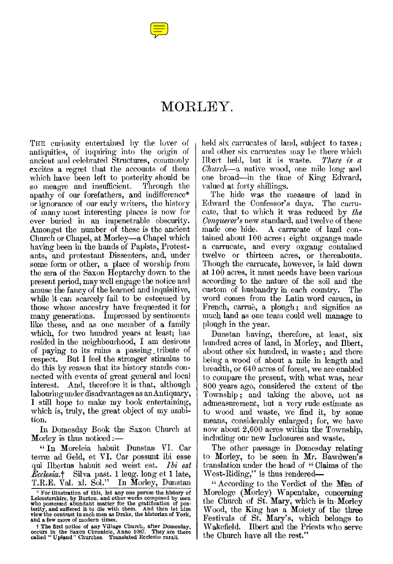## MORLEY.

THE curiosity entertained by the lover of antiquities, of inquiring into the origin of ancient and celebrated Structures, commonly excites a regret that the accounts of them which have been left to posterity should be<br>so meagre and insufficient. Through the so meagre and insufficient. apathy of our forefathers, and indifference\* or ignorance of our early writers, the history of many most interesting places is now for ever buried in an impenetrable obscurity. Amongst the number of these is the ancient Church or Chapel, at Morley—a Chapel which having been in the hands of Papists, Protestants, and protestant Dissenters, and, under some form or other, a place of worship from the æra of the Saxon Heptarchy down to the present period, may well engage the notice and amuse the fancy of the learned and inquisitive, while it can scarcely fail to be esteemed by those whose ancestry have frequented it for many generations. Impressed by sentiments like these, and as one member of a family which, for two hundred years at least; has resided in the neighbourhood, I am desirous of paying to its ruins a passing \_tribute of respect. But I feel the stronger stimulus to do this by reason that its history stands connected with events of great general and local interest. And, therefore it is that, although labouring under disadvantages as an Antiquary, I still hope to make my book entertaining, which is, truly, the great object of my ambition.

In Domesday Book the Saxon Church at Morley is thus noticed  $:$ -

" In Moreleia habuit Dunstan VI. Car terræ ad Geld, et VI. Car possunt ibi esse qui Ilbertus habuit sed weist est. *Ibi est Ecclesia.†* Silva past. 1 leug. long et 1 late, T.R.E. Val. xl. Sol." In Morley, Dunstan

f The first notice of any Village Church, after Domesday, occurs in the Saxon Chronicle, Anno 1087. They are there called "Upland" Churches. Translated Ecclesia, rurali.

held six carrucates of land, subject to taxes; and other six carrucates may be there which Ilbert held, but it is waste. *There is a Church—a* native wood, one mile long and one broad—in the time of King Edward, valued at forty shillings.

The hide was the measure of land in<br>lward the Confessor's days. The carru-Edward the Confessor's days. cate, that to which it was reduced by *the Conqueror's* new standard, and twelve of these made one hide. A carrucate of land contained about 100 acres ; eight oxgangs made a carrucate, and every oxgang contained twelve or thirteen acres, or thereabouts. Though the carrucate, however, is laid down at 100 acres, it must needs have been various according to the nature of the soil and the custom of husbandry in each country. The word comes from the Latin word caruca, in French, carrue, a plough; and signifies as much land as one team could well manage to plough in the year.

Dunstan having, therefore, at least, six hundred acres of land, in Morley, and Ilbert, about other six hundred, in waste ; and there being a wood of about a mile in length and breadth, or 640 acres of forest, we are enabled to compare the present, with what was, near 800 years ago, considered the extent of the Township ; and taking the above, not as admeasurement, but a very rude estimate as to wood and waste, we find it, by some means, considerably enlarged ; for, we have now about 2,600 acres within the Township, including our new Inclosures and waste.

The other passage in Domesday relating to Morley, to be seen in Mr. Bawdwen's translation under the head of " Claims of the West-Riding," is thus rendered-

" According to the Verdict of the Men of Morelege (Morley) Wapentake, concerning the Church of St. Mary, which is in Morley Wood, the King has a Moiety of the three Festivals of St. Mary's, which belongs to Wakefield. Ilbert and the Priests who serve the Church have all the rest,"

<sup>\*</sup> For illustration of this, let any one peruse the history of Leicestershire, by Burton, and other works composed by men who possessed abundant matter for the gratification of posterity, and suffered it to die with them. A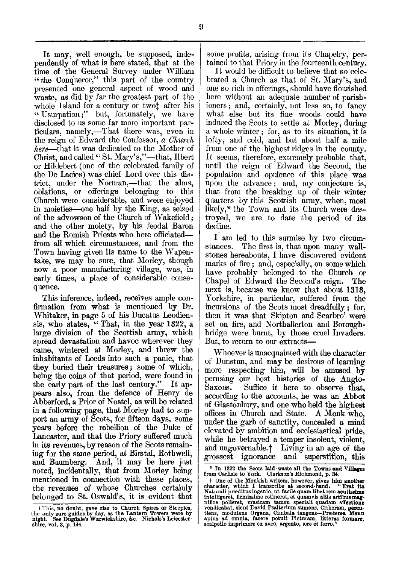It may, well enough, be supposed, independently of what is here stated, that at the time of the General Survey under William " the Conqueror," this part of the country presented one general aspect of wood and waste, as did by far the greatest part of the whole Island for a century or twot after his " Usurpation;" but, fortunately, we have disclosed to us some far more important particulars, namely,—That there was, even in the reign of Edward the Confessor, *a Church here—that* it was dedicated to the Mother of Christ, and called " St. Mary's,"—that, Ilbert or Hildebert (one of the celebrated family of the De Lacies) was chief Lord over this district, under the Norman,—that the alms, oblations, or offerings belonging to this Church were considerable, and were enjoyed in moieties—one half by the King, as seized of the advowson of the Church of Wakefield; and the other moiety, by his feodal Baron and the Romish Priests who here officiated from all which circumstances, and from the Town having given its name to the Wapentake, we may be sure, that Morley, though now a poor manufacturing village, was, in early times, a place of considerable consequence.

This inference, indeed, receives ample confirmation from what is mentioned by Dr. Whitaker, in page 5 of his Ducatus Leodiensis, who states, "That, in the year 1322, a large division of the Scottish army, which spread devastation and havoc wherever they came, wintered at Morley, and threw the inhabitants of Leeds into such a panic, that they buried their treasures ; some of which, being the coins of that period, were found in the early part of the last century." It appears also, from the defence of Henry de Abberford, a Prior of Nostel, as will be related in a following page, that Morley had to support an army of Scots, for fifteen days, some years before the rebellion of the Duke of Lancaster, and that the Priory suffered much in its revenues, by reason of the Scots remaining for the same period, at Birstal, Rothwell, and Baumberg. And, it may be here just noted, incidentally, that from Morley being mentioned in connection with these places, the revenues of whose Churches certainly belonged to St. Oswald's, it is evident that

some profits, arising from its Chapelry, pertained to that Priory in the fourteenth century.

It would be difficult to believe that so celebrated a Church as that of St. Mary's, and one so rich in offerings, should have flourished here without an adequate number of parishioners ; and, certainly, not less so, to fancy what else but its fine woods could have induced the Scots to settle at Morley, during a whole winter ; for, as to its situation, it is lofty, and cold, and but about half a mile from one of the highest ridges in the county. It seems, therefore, extremely probable that, until the reign of Edward the Second, the population and opulence of this place was upon the advance ; and, my conjecture is, that from the breaking up of their winter quarters by this Scottish army, when, most likely,\* the Town and its Church were destroyed, we are to date the period of its decline.

I am led to this surmise by two circumstances. The first is, that upon many wallstones hereabouts, I have discovered evident marks of fire ; and, especially, on some which have probably belonged to the Church or Chapel of Edward the Second's reign. The next is, because we know that about 1318, Yorkshire, in particular, suffered from the incursions of the Scots most dreadfully ; for, then it was that Skipton and Scarbro' were set on fire, and Northallerton and Boroughbridge were burnt, by those cruel Invaders. But, to return to our extracts—

Whoever is unacquainted with the character of Dunstan, and may be desirous of learning more respecting him, will be amused by perusing our best histories of the Anglo-Suffice it here to observe that, according to the accounts, he was an Abbot of Glastonbury, and one who held the highest offices in Church and State. A Monk who, under the garb of sanctity, concealed a mind elevated by ambition and ecclesiastical pride, while he betrayed a temper insolent, violent, and ungovernable.† Living in an age of the grossest ignorance and superstition, this

<sup>1</sup> This, no doubt, gave rise to Church Spires or Steeples, the only sure guides by day, as the Lantern Towers were by night. See Dugdale's Warwickshire, &c. Nichols's Leicestershire, vol. 3, p. 144.

<sup>\*</sup> In 1322 the Scots laid-waste all the Towns and Villages from Carlisle to York. Clarkson's Richmond, p. 34.

<sup>&</sup>lt;sup>†</sup> One of the Monkish writers, however, gives him another<br>character, which I transcribe at second-hand: "Erat its<br>Naturall pracidius ingenio, ut facile quam libet rem acutissime<br>intelligeret, firmissime retineret, et quam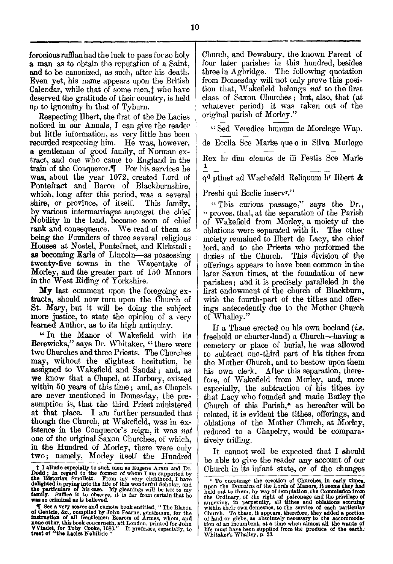ferocious ruffian had the luck to pass for so holy a man as to obtain the reputation of a Saint, and to be canonized, as such, after his death. Even yet, his name appears upon the British Calendar, while that of some men, t who have deserved the gratitude of their country, is held up to ignominy in that of Tyburn.

Respecting Ilbert, the first of the De Lacies noticed in our Annals, I can give the reader but little information, as very little has been recorded respecting him. He was, however, a gentleman of good family, of Norman extract, and one who came to England in the train of the Conqueror. $\P$  For his services he was, about the year 1072, created Lord of Pontefract and Baron of Blackburnshire, which, long after this period, was a several shire, or province, of itself. This family, by various intermarriages amongst the chief Nobility in the land, became soon of chief rank and consequence. We read of them as being the Founders of three several religious Houses at Nostel, Pontefract, and Kirkstall ; as becoming Earls of Lincoln—as possessing twenty-five towns in the Wapentake of Morley, and the greater part of 150 Manors in the West Riding of Yorkshire.

My last comment upon the foregoing extracts, should now turn upon the Church of St. Mary, but it will be doing the subject more justice, to state the opinion of a very learned Author, as to its high antiquity.

" In the Manor of Wakefield with its Berewicks," says Dr. Whitaker, "there were two Churches and three Priests. The Churches may, without the slightest hesitation, be assigned to Wakefield and Sandal ; and, as we know that a Chapel, at Horbury, existed within 50 years of this time ; and, as Chapels are never mentioned in Domesday, the presumption is, that the third Priest ministered at that place. I am further persuaded that though the Church, at Wakefield, was in existence in the Conqueror's reign, it was *not*  one of the original Saxon Churches, of which, in the Hundred of Morley, there were only two; namely, Morley itself the Hundred

Church, and Dewsbury, the known Parent of four later parishes in this hundred, besides three in Agbridge. The following quotation from Domesday will not only prove this position that, Wakefield belongs *not* to the first class of Saxon Churches ; but, also, that (at whatever period) it was taken out of the original parish of Morley."

" Sed Veredice hmnum de Morelege Wap. de Ecclia See Mariæ que e in Silva Morlege Rex hr dim elemos de iii Festis See Marie 1 qd ptinet ad Wachefeld Reliquum hr Ilbert &

Presbi qui Ecclie inserv<sup>r."</sup>

" This curious passage," says the Dr., " proves, that, at the separation of the Parish of Wakefield from Morley, a moiety of the oblations were separated with it. The other moiety remained to Ilbert de Lacy, the chief lord, and to the Priests who performed the duties of the Church. This division of the offerings appears to have been common in the later Saxon times, at the foundation of new parishes; and it is precisely paralleled in the first endowment of the church of Blackburn, with the fourth-part of the tithes and offerings antecedently due to the Mother Church of Whalley."

If a Thane erected on his own bocland *(i.e.*  freehold or charter-land) a Church—having a cemetery or place of burial, he was allowed to subtract one-third part of his tithes from the Mother Church, and to bestow upon them his own clerk. After this separation, therefore, of Wakefield from Morley, and, more especially, the subtraction of his tithes by that Lacy who founded and made Batley the Church of this Parish,\* as hereafter will be related, it is evident the tithes, offerings, and oblations of the Mother Church, at Morley, reduced to a Chapelry, would be comparatively trifling.

It cannot well be expected that I should be able to give the reader any account of our Church in its infant state, or of the changes

**<sup>1</sup> I allude especially to such men as Eugene Aram and Dr.**<br>**Dodd**, in regard to the former of whom I am supported by<br>**the Historian** Smollett. From my very childhood, I have<br>**delighted** in prying into the life of this wond

 $\P$  See a very scarce and curious book entitled, "The Blazon of Gentrie, &c., compiled by John Fearne, gentleman, for the instruction of all Gentlemen Bearers of Armes, whom, and none other, this book concerneth, att Lond

 $*$  To encourage the erection of Churches, in early times, <br>upon the Domains of the Lords of Manors, it seems they had<br>held out to them, by way of temptation, the Commission from<br>the Ordinary, of the right of partonage an